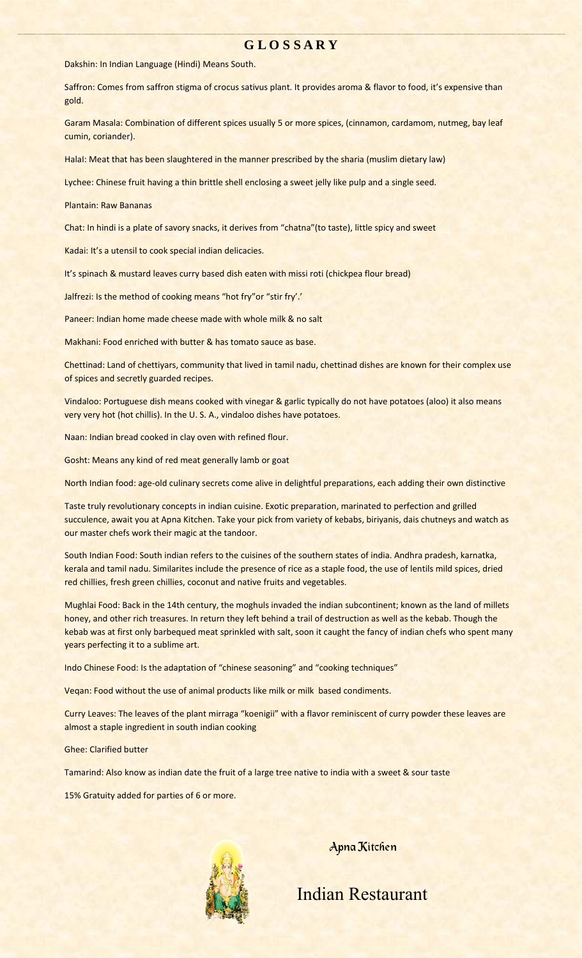#### **G L O S S A R Y**

Dakshin: In Indian Language (Hindi) Means South.

Saffron: Comes from saffron stigma of crocus sativus plant. It provides aroma & flavor to food, it's expensive than gold.

Garam Masala: Combination of different spices usually 5 or more spices, (cinnamon, cardamom, nutmeg, bay leaf cumin, coriander).

HalaI: Meat that has been slaughtered in the manner prescribed by the sharia (muslim dietary law)

Lychee: Chinese fruit having a thin brittle shell enclosing a sweet jelly like pulp and a single seed.

Plantain: Raw Bananas

Chat: In hindi is a plate of savory snacks, it derives from "chatna"(to taste), little spicy and sweet

Kadai: It's a utensil to cook special indian delicacies.

It's spinach & mustard leaves curry based dish eaten with missi roti (chickpea flour bread)

Jalfrezi: Is the method of cooking means "hot fry"or "stir fry'.'

Paneer: Indian home made cheese made with whole milk & no salt

Makhani: Food enriched with butter & has tomato sauce as base.

Chettinad: Land of chettiyars, community that lived in tamil nadu, chettinad dishes are known for their complex use of spices and secretly guarded recipes.

Vindaloo: Portuguese dish means cooked with vinegar & garlic typically do not have potatoes (aloo) it also means very very hot (hot chillis). In the U. S. A., vindaloo dishes have potatoes.

Naan: Indian bread cooked in clay oven with refined flour.

Gosht: Means any kind of red meat generally lamb or goat

North Indian food: age‐old culinary secrets come alive in delightful preparations, each adding their own distinctive

Taste truly revolutionary concepts in indian cuisine. Exotic preparation, marinated to perfection and grilled succulence, await you at Apna Kitchen. Take your pick from variety of kebabs, biriyanis, dais chutneys and watch as our master chefs work their magic at the tandoor.

South Indian Food: South indian refers to the cuisines of the southern states of india. Andhra pradesh, karnatka, kerala and tamil nadu. Similarites include the presence of rice as a staple food, the use of lentils mild spices, dried red chillies, fresh green chillies, coconut and native fruits and vegetables.

Mughlai Food: Back in the 14th century, the moghuls invaded the indian subcontinent; known as the land of millets honey, and other rich treasures. In return they left behind a trail of destruction as well as the kebab. Though the kebab was at first only barbequed meat sprinkled with salt, soon it caught the fancy of indian chefs who spent many years perfecting it to a sublime art.

Indo Chinese Food: Is the adaptation of "chinese seasoning" and "cooking techniques"

Veqan: Food without the use of animal products like milk or milk based condiments.

Curry Leaves: The leaves of the plant mirraga "koenigii" with a flavor reminiscent of curry powder these leaves are almost a staple ingredient in south indian cooking

Ghee: Clarified butter

Tamarind: Also know as indian date the fruit of a large tree native to india with a sweet & sour taste

15% Gratuity added for parties of 6 or more.



Apna Kitchen

Indian Restaurant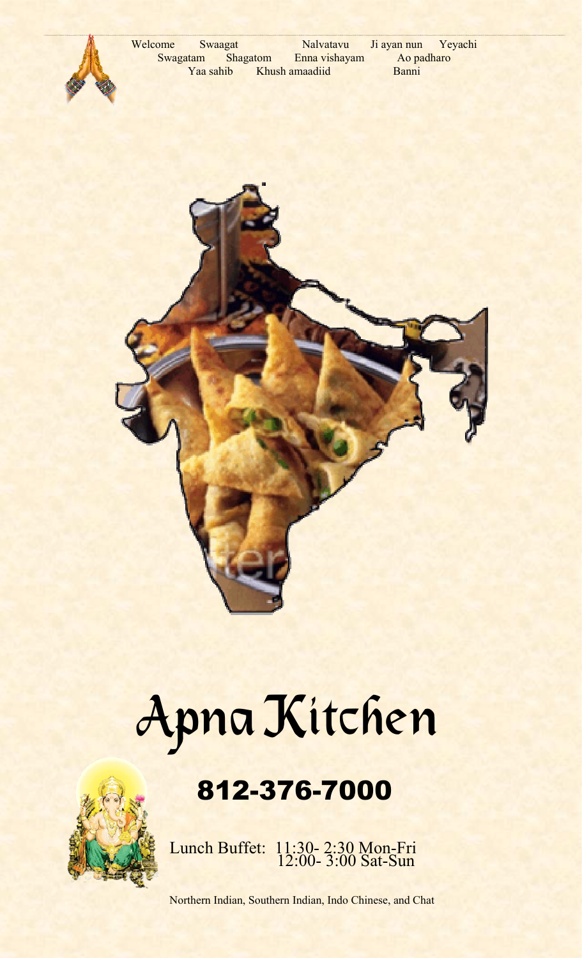



## 812-376-7000



Lunch Buffet: 11:30- 2:30 Mon-Fri 12:00- 3:00 Sat-Sun

Northern Indian, Southern Indian, Indo Chinese, and Chat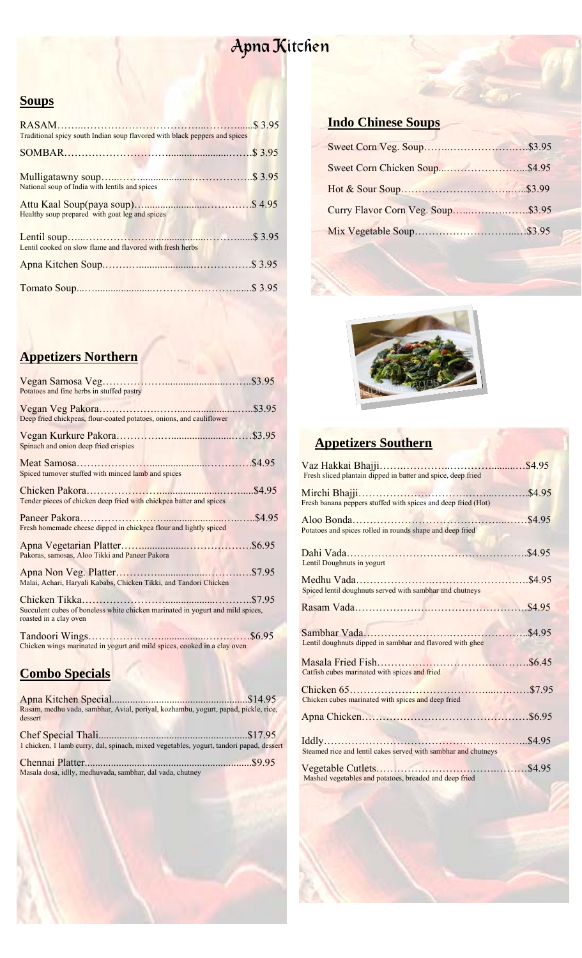### **Soups**

| Traditional spicy south Indian soup flavored with black peppers and spices |  |
|----------------------------------------------------------------------------|--|
|                                                                            |  |
| National soup of India with lentils and spices                             |  |
| Healthy soup prepared with goat leg and spices                             |  |
| Lentil cooked on slow flame and flavored with fresh herbs                  |  |
|                                                                            |  |
|                                                                            |  |

### **Appetizers Northern**

| Potatoes and fine herbs in stuffed pastry                                                                |       |
|----------------------------------------------------------------------------------------------------------|-------|
| Deep fried chickpeas, flour-coated potatoes, onions, and cauliflower                                     |       |
| Spinach and onion deep fried crispies                                                                    |       |
| Spiced turnover stuffed with minced lamb and spices                                                      |       |
| Tender pieces of chicken deep fried with chickpea batter and spices                                      |       |
| Fresh homemade cheese dipped in chickpea flour and lightly spiced                                        |       |
| Pakoras, samosas, Aloo Tikki and Paneer Pakora                                                           |       |
| Malai, Achari, Haryali Kababs, Chicken Tikki, and Tandori Chicken                                        |       |
| Succulent cubes of boneless white chicken marinated in yogurt and mild spices,<br>roasted in a clay oven | \$795 |
| Chicken wings marinated in yogurt and mild spices, cooked in a clay oven                                 |       |

### **Combo Specials** Apna Kitchen Special....................................................\$14.95

| Rasam, medhu vada, sambhar, Avial, poriyal, kozhambu, yogurt, papad, pickle, rice,<br>dessert |  |
|-----------------------------------------------------------------------------------------------|--|
| 1 chicken, 1 lamb curry, dal, spinach, mixed vegetables, yogurt, tandori papad, dessert       |  |
| Masala dosa, idlly, medhuvada, sambhar, dal vada, chutney                                     |  |

### **Indo Chinese Soups**



### **Appetizers Southern**

| Vaz Hakkai Bhajji<br>.<br>Fresh sliced plantain dipped in batter and spice, deep fried | \$4.95 |
|----------------------------------------------------------------------------------------|--------|
| Fresh banana peppers stuffed with spices and deep fried (Hot)                          | \$4.95 |
| Potatoes and spices rolled in rounds shape and deep fried                              |        |
| Lentil Doughnuts in yogurt                                                             |        |
| Spiced lentil doughnuts served with sambhar and chutneys                               |        |
|                                                                                        |        |
| Lentil doughnuts dipped in sambhar and flavored with ghee                              | \$4.95 |
| Catfish cubes marinated with spices and fried                                          |        |
| Chicken cubes marinated with spices and deep fried                                     |        |
|                                                                                        |        |
| Steamed rice and lentil cakes served with sambhar and chutneys                         |        |
| Mashed vegetables and potatoes, breaded and deep fried                                 |        |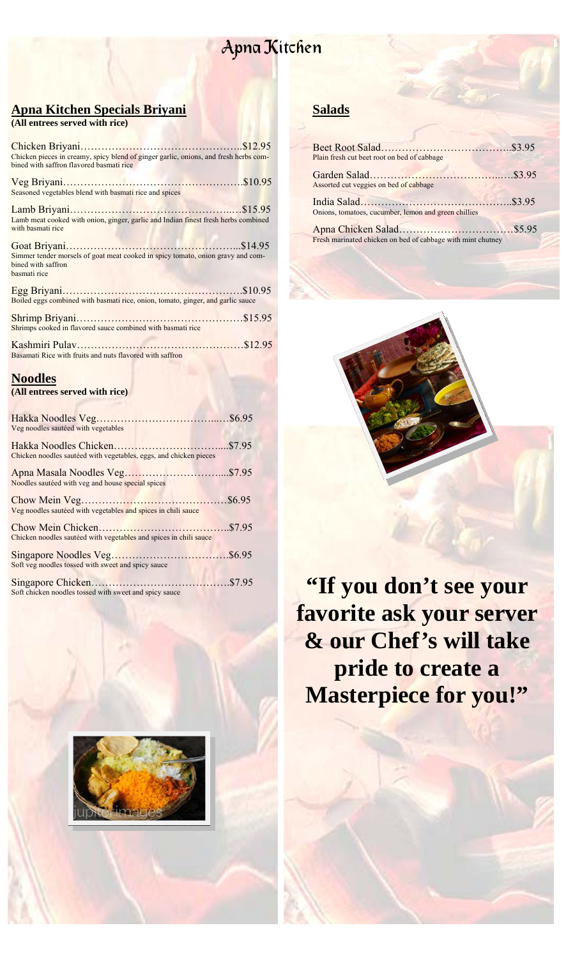### **Apna Kitchen Specials Briyani**

| (All entrees served with rice) |  |  |  |
|--------------------------------|--|--|--|
|--------------------------------|--|--|--|

| Chicken pieces in creamy, spicy blend of ginger garlic, onions, and fresh herbs com-<br>bined with saffron flavored basmati rice |  |
|----------------------------------------------------------------------------------------------------------------------------------|--|
| Seasoned vegetables blend with basmati rice and spices                                                                           |  |
| Lamb meat cooked with onion, ginger, garlic and Indian finest fresh herbs combined<br>with basmati rice                          |  |
| Simmer tender morsels of goat meat cooked in spicy tomato, onion gravy and com-<br>bined with saffron<br>basmati rice            |  |
| Boiled eggs combined with basmati rice, onion, tomato, ginger, and garlic sauce                                                  |  |
| Shrimps cooked in flavored sauce combined with basmati rice                                                                      |  |
| Basamati Rice with fruits and nuts flavored with saffron                                                                         |  |
| <b>Noodles</b>                                                                                                                   |  |

**(All entrees served with rice)**

| Veg noodles sautéed with vegetables                               |         |
|-------------------------------------------------------------------|---------|
|                                                                   |         |
|                                                                   |         |
| Chicken noodles sautéed with vegetables, eggs, and chicken pieces |         |
|                                                                   |         |
|                                                                   |         |
| Noodles sautéed with veg and house special spices                 |         |
|                                                                   | .\$6.95 |
| Veg noodles sautéed with vegetables and spices in chili sauce     |         |
|                                                                   |         |
|                                                                   |         |
| Chicken noodles sautéed with vegetables and spices in chili sauce |         |
|                                                                   |         |
|                                                                   |         |
| Soft veg noodles tossed with sweet and spicy sauce                |         |
|                                                                   |         |
|                                                                   |         |
| Soft chicken noodles tossed with sweet and spicy sauce            |         |



### **Salads**

| Plain fresh cut beet root on bed of cabbage                 |  |
|-------------------------------------------------------------|--|
| Assorted cut veggies on bed of cabbage                      |  |
| Onions, tomatoes, cucumber, lemon and green chillies        |  |
| Fresh marinated chicken on bed of cabbage with mint chutney |  |



"If you don't see your **favorite ask your server & our Chef's will take pride to create a Masterpiece for you!"**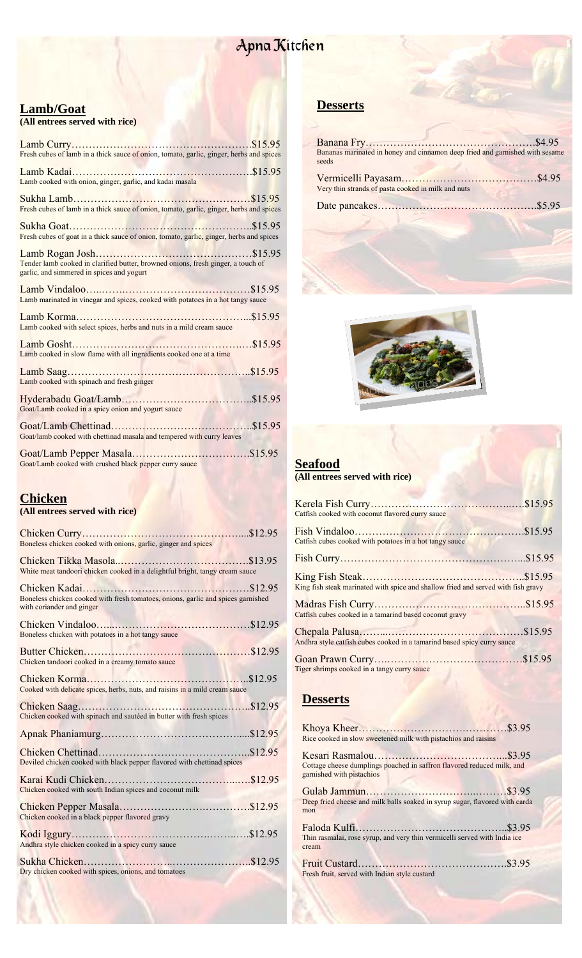### **Lamb/Goat**

| (All entrees served with rice)                                                                                                |
|-------------------------------------------------------------------------------------------------------------------------------|
| Fresh cubes of lamb in a thick sauce of onion, tomato, garlic, ginger, herbs and spices                                       |
| Lamb cooked with onion, ginger, garlic, and kadai masala                                                                      |
| Fresh cubes of lamb in a thick sauce of onion, tomato, garlic, ginger, herbs and spices                                       |
| Fresh cubes of goat in a thick sauce of onion, tomato, garlic, ginger, herbs and spices                                       |
| Tender lamb cooked in clarified butter, browned onions, fresh ginger, a touch of<br>garlic, and simmered in spices and yogurt |
| Lamb marinated in vinegar and spices, cooked with potatoes in a hot tangy sauce                                               |
| Lamb cooked with select spices, herbs and nuts in a mild cream sauce                                                          |
| Lamb cooked in slow flame with all ingredients cooked one at a time                                                           |
| Lamb cooked with spinach and fresh ginger                                                                                     |
| Goat/Lamb cooked in a spicy onion and yogurt sauce                                                                            |
| Goat/lamb cooked with chettinad masala and tempered with curry leaves                                                         |
| Goat/Lamb cooked with crushed black pepper curry sauce                                                                        |

#### **Chicken**

#### **(All entrees served with rice)**

| Boneless chicken cooked with onions, garlic, ginger and spices                                                |  |
|---------------------------------------------------------------------------------------------------------------|--|
| White meat tandoori chicken cooked in a delightful bright, tangy cream sauce                                  |  |
| Boneless chicken cooked with fresh tomatoes, onions, garlic and spices garnished<br>with coriander and ginger |  |
| Boneless chicken with potatoes in a hot tangy sauce                                                           |  |
| Chicken tandoori cooked in a creamy tomato sauce                                                              |  |
| Cooked with delicate spices, herbs, nuts, and raisins in a mild cream sauce                                   |  |
| Chicken cooked with spinach and sautéed in butter with fresh spices                                           |  |
|                                                                                                               |  |
| Deviled chicken cooked with black pepper flavored with chettinad spices                                       |  |
| Chicken cooked with south Indian spices and coconut milk                                                      |  |
| Chicken cooked in a black pepper flavored gravy                                                               |  |
| Andhra style chicken cooked in a spicy curry sauce                                                            |  |
| Dry chicken cooked with spices, onions, and tomatoes                                                          |  |
|                                                                                                               |  |

### **Desserts**

| Bananas marinated in honey and cinnamon deep fried and garnished with sesame<br>seeds |  |
|---------------------------------------------------------------------------------------|--|
| Very thin strands of pasta cooked in milk and nuts                                    |  |
|                                                                                       |  |
|                                                                                       |  |



#### **Seafood**

#### **(All entrees served with rice)**

| Catfish cooked with coconut flavored curry sauce                                  |  |
|-----------------------------------------------------------------------------------|--|
| Catfish cubes cooked with potatoes in a hot tangy sauce                           |  |
|                                                                                   |  |
| King fish steak marinated with spice and shallow fried and served with fish gravy |  |
| Catfish cubes cooked in a tamarind based coconut gravy                            |  |
| Andhra style catfish cubes cooked in a tamarind based spicy curry sauce           |  |
| Tiger shrimps cooked in a tangy curry sauce                                       |  |

#### **Desserts**

| Rice cooked in slow sweetened milk with pistachios and raisins                                      |  |
|-----------------------------------------------------------------------------------------------------|--|
| Cottage cheese dumplings poached in saffron flavored reduced milk, and<br>garnished with pistachios |  |
| Deep fried cheese and milk balls soaked in syrup sugar, flavored with carda<br>mon                  |  |
| Thin rasmalai, rose syrup, and very thin vermicelli served with India ice<br>cream                  |  |
| Fresh fruit, served with Indian style custard                                                       |  |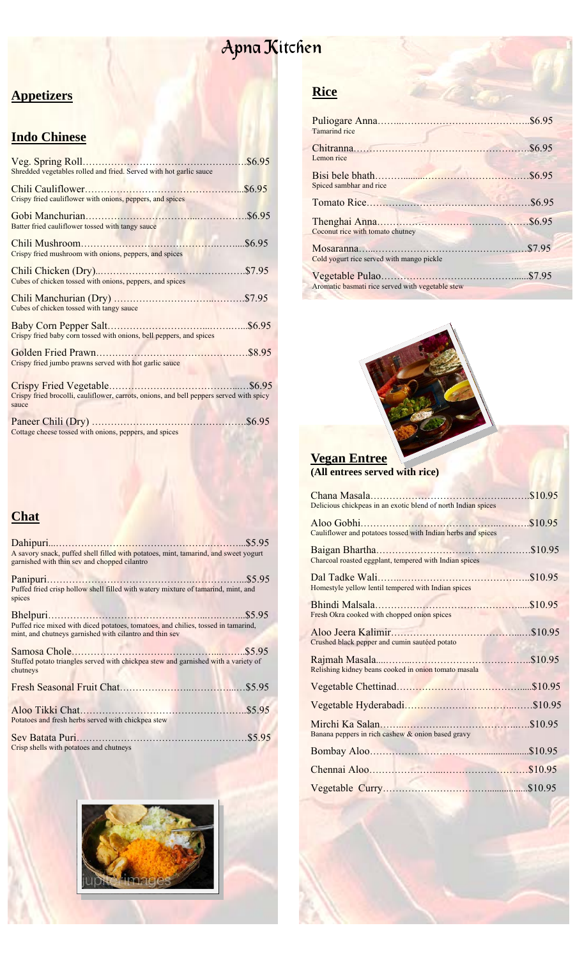### **Appetizers**

### **Indo Chinese**

| Shredded vegetables rolled and fried. Served with hot garlic sauce                               |        |
|--------------------------------------------------------------------------------------------------|--------|
| Crispy fried cauliflower with onions, peppers, and spices                                        | \$6.95 |
| Batter fried cauliflower tossed with tangy sauce                                                 |        |
| Crispy fried mushroom with onions, peppers, and spices                                           | \$6.95 |
| Cubes of chicken tossed with onions, peppers, and spices                                         |        |
| Cubes of chicken tossed with tangy sauce                                                         |        |
| Crispy fried baby corn tossed with onions, bell peppers, and spices                              |        |
| Crispy fried jumbo prawns served with hot garlic sauce                                           |        |
| Crispy fried brocolli, cauliflower, carrots, onions, and bell peppers served with spicy<br>sauce |        |
| Cottage cheese tossed with onions, peppers, and spices                                           |        |

### **Chat**

| A savory snack, puffed shell filled with potatoes, mint, tamarind, and sweet yogurt<br>garnished with thin sev and chopped cilantro          |  |
|----------------------------------------------------------------------------------------------------------------------------------------------|--|
| Puffed fried crisp hollow shell filled with watery mixture of tamarind, mint, and<br>spices                                                  |  |
|                                                                                                                                              |  |
| Puffed rice mixed with diced potatoes, tomatoes, and chilies, tossed in tamarind,<br>mint, and chutneys garnished with cilantro and thin sev |  |
| Stuffed potato triangles served with chickpea stew and garnished with a variety of<br>chutneys                                               |  |
|                                                                                                                                              |  |
| Potatoes and fresh herbs served with chickpea stew                                                                                           |  |
| Crisp shells with potatoes and chutneys                                                                                                      |  |



### **Rice**

| <b>Tamarind</b> rice                             |  |
|--------------------------------------------------|--|
| Lemon rice                                       |  |
| Spiced sambhar and rice                          |  |
|                                                  |  |
| Coconut rice with tomato chutney                 |  |
| Cold yogurt rice served with mango pickle        |  |
| Aromatic basmati rice served with vegetable stew |  |



#### **Vegan Entree (All entrees served with rice)**

| Delicious chickpeas in an exotic blend of north Indian spices | \$10.95 |
|---------------------------------------------------------------|---------|
| Cauliflower and potatoes tossed with Indian herbs and spices  |         |
| Charcoal roasted eggplant, tempered with Indian spices        |         |
| Homestyle yellow lentil tempered with Indian spices           |         |
| Fresh Okra cooked with chopped onion spices                   |         |
| Crushed black pepper and cumin sautéed potato                 |         |
| Relishing kidney beans cooked in onion tomato masala          |         |
|                                                               |         |
|                                                               |         |
| Banana peppers in rich cashew & onion based gravy             |         |
|                                                               |         |
|                                                               |         |
|                                                               |         |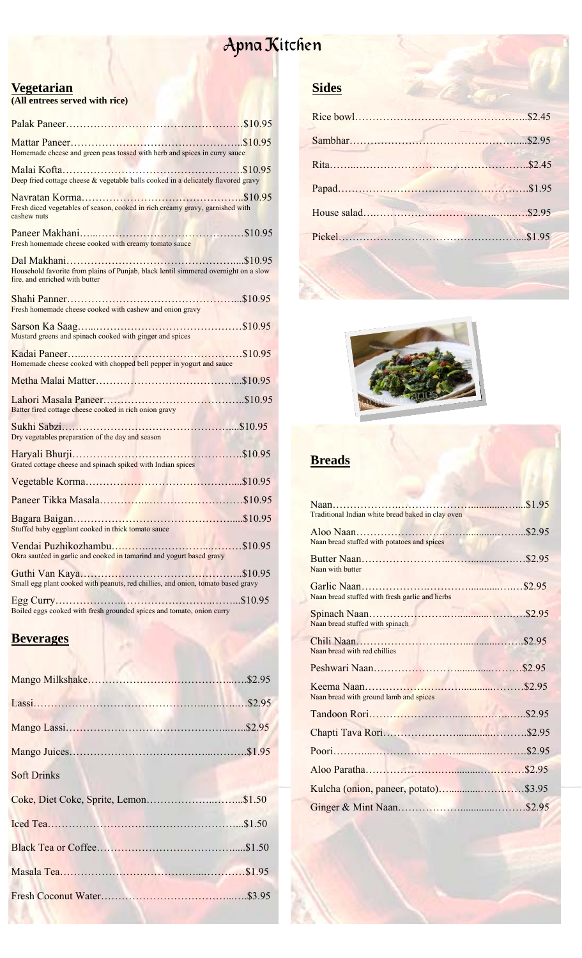### <mark>Apna K</mark>itch<mark>en</mark>

#### **Vegetarian**

**(All entrees served with rice)** 

| Homemade cheese and green peas tossed with herb and spices in curry sauce                                             |  |
|-----------------------------------------------------------------------------------------------------------------------|--|
| Deep fried cottage cheese & vegetable balls cooked in a delicately flavored gravy                                     |  |
| Fresh diced vegetables of season, cooked in rich creamy gravy, garnished with<br>cashew nuts                          |  |
| Fresh homemade cheese cooked with creamy tomato sauce                                                                 |  |
| Household favorite from plains of Punjab, black lentil simmered overnight on a slow<br>fire, and enriched with butter |  |
| Fresh homemade cheese cooked with cashew and onion gravy                                                              |  |
| Mustard greens and spinach cooked with ginger and spices                                                              |  |
| Homemade cheese cooked with chopped bell pepper in yogurt and sauce                                                   |  |
|                                                                                                                       |  |
| Batter fired cottage cheese cooked in rich onion gravy                                                                |  |
| Dry vegetables preparation of the day and season                                                                      |  |
| Grated cottage cheese and spinach spiked with Indian spices                                                           |  |
|                                                                                                                       |  |
|                                                                                                                       |  |
| Stuffed baby eggplant cooked in thick tomato sauce<br><b>PERSONAL PROPERTY</b>                                        |  |
| Okra sautéed in garlic and cooked in tamarind and yogurt based gravy                                                  |  |
| Small egg plant cooked with peanuts, red chillies, and onion, tomato based gravy                                      |  |
| Boiled eggs cooked with fresh grounded spices and tomato, onion curry                                                 |  |

#### **Beverages**

| <b>Soft Drinks</b> |  |
|--------------------|--|
|                    |  |
|                    |  |
|                    |  |
|                    |  |
|                    |  |
|                    |  |

### **Sides**



### **Breads**

| Traditional Indian white bread baked in clay oven                                                                                                                                                                                                                              |  |
|--------------------------------------------------------------------------------------------------------------------------------------------------------------------------------------------------------------------------------------------------------------------------------|--|
| Naan bread stuffed with potatoes and spices                                                                                                                                                                                                                                    |  |
| Naan with butter                                                                                                                                                                                                                                                               |  |
| Naan bread stuffed with fresh garlic and herbs                                                                                                                                                                                                                                 |  |
| Naan bread stuffed with spinach                                                                                                                                                                                                                                                |  |
| Naan bread with red chillies                                                                                                                                                                                                                                                   |  |
|                                                                                                                                                                                                                                                                                |  |
| <b>Contract of the Contract of the Contract of the Contract of the Contract of the Contract of the Contract of the Contract of the Contract of The Contract of The Contract of The Contract of The Contract of The Contract of T</b><br>Naan bread with ground lamb and spices |  |
|                                                                                                                                                                                                                                                                                |  |
|                                                                                                                                                                                                                                                                                |  |
|                                                                                                                                                                                                                                                                                |  |
|                                                                                                                                                                                                                                                                                |  |
|                                                                                                                                                                                                                                                                                |  |
|                                                                                                                                                                                                                                                                                |  |